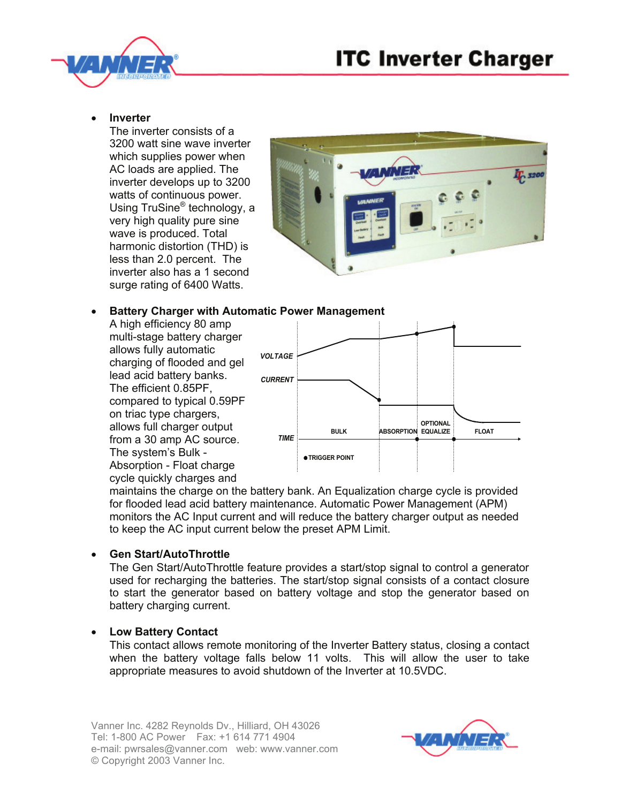



### • **Inverter**

The inverter consists of a 3200 watt sine wave inverter which supplies power when AC loads are applied. The inverter develops up to 3200 watts of continuous power. Using TruSine<sup>®</sup> technology, a very high quality pure sine wave is produced. Total harmonic distortion (THD) is less than 2.0 percent. The inverter also has a 1 second surge rating of 6400 Watts.



# • **Battery Charger with Automatic Power Management**

A high efficiency 80 amp multi-stage battery charger allows fully automatic charging of flooded and gel lead acid battery banks. The efficient 0.85PF, compared to typical 0.59PF on triac type chargers, allows full charger output from a 30 amp AC source. The system's Bulk - Absorption - Float charge cycle quickly charges and



maintains the charge on the battery bank. An Equalization charge cycle is provided for flooded lead acid battery maintenance. Automatic Power Management (APM) monitors the AC Input current and will reduce the battery charger output as needed to keep the AC input current below the preset APM Limit.

## • **Gen Start/AutoThrottle**

The Gen Start/AutoThrottle feature provides a start/stop signal to control a generator used for recharging the batteries. The start/stop signal consists of a contact closure to start the generator based on battery voltage and stop the generator based on battery charging current.

## • **Low Battery Contact**

This contact allows remote monitoring of the Inverter Battery status, closing a contact when the battery voltage falls below 11 volts. This will allow the user to take appropriate measures to avoid shutdown of the Inverter at 10.5VDC.